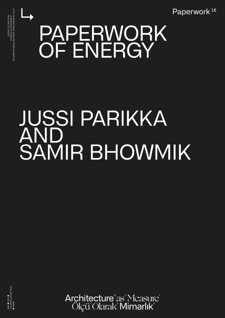Paperwork<sup>16</sup>

## ↳ PAPERWORK OF ENERGY

## JUSSI PARIKKA AND SAMIR BHOWMIK



Architecture as Measure Ölçü Olarak Mimarlık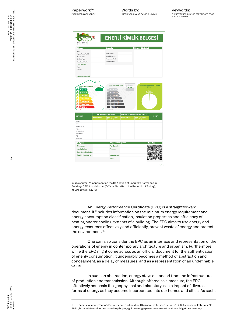17TH INTERNATIONAL ARCHITECTURE EXHIBITION<br>LA BIENNALE DI VENEZIA<br>PAVILION OF TURKEY PAVILION OF TURKEY LA BIENNALE DI VENEZIA 17TH INTERNATIONAL ARCHITECTURE EXHIBITION

Keywords: ENERGY PERFORMANCE CERTIFICATE, FOSSIL FUELS, MEASURE

| <b>Binanın</b>                                                                                                                 |                           | <b>Belgenin</b>                                                              |                           | <b>Binanın Görüntüsü</b>           |                 |
|--------------------------------------------------------------------------------------------------------------------------------|---------------------------|------------------------------------------------------------------------------|---------------------------|------------------------------------|-----------------|
| Tipi:                                                                                                                          |                           |                                                                              |                           |                                    |                 |
| İnşaat Ruhsat Tarihi:                                                                                                          |                           | Veriliş Tarihi:                                                              |                           |                                    |                 |
| Tadilat Tarihi:                                                                                                                |                           | Goçorlilik Tarihi:                                                           |                           |                                    |                 |
| Toplam Alan:                                                                                                                   |                           | Performans Sjnjfj:<br>Emisyon Sinifi:                                        |                           |                                    |                 |
| Ada/Parsel/Pafta:                                                                                                              |                           |                                                                              |                           |                                    |                 |
| <b>UAVT Bina No:</b><br>Adır.                                                                                                  |                           |                                                                              |                           |                                    |                 |
| Adresi:                                                                                                                        |                           |                                                                              |                           |                                    |                 |
|                                                                                                                                |                           |                                                                              |                           |                                    |                 |
|                                                                                                                                |                           |                                                                              |                           |                                    |                 |
| Sahibinin Adı Soyadı:                                                                                                          |                           |                                                                              |                           |                                    |                 |
| $40 - 79$<br>$30 - 99$<br>$100 - 119$<br>$120 - 139$<br>$140 - 174$                                                            |                           | 40 - 79<br>$80 - 99$<br>$100 - 119$<br>$120 - 139$<br>$140 - 174$<br>G 175 - |                           | % 0,00                             |                 |
| G 175 -                                                                                                                        |                           |                                                                              |                           |                                    |                 |
|                                                                                                                                |                           | YILLIK ENERJİ TÜKETİMLERİ                                                    |                           | YENİLENEBİLİR ENERJİ/KOJEN. ENERJİ |                 |
|                                                                                                                                | <b>Birincil (kWh/yil)</b> |                                                                              | <b>Birincil (kWh/yil)</b> |                                    | <b>SINIFI</b>   |
|                                                                                                                                |                           | Birim Alan Başına<br>(kWh/mª.yıl)                                            |                           | Birim Alan Başına<br>(kWh/mz.yıl)  |                 |
|                                                                                                                                |                           |                                                                              |                           |                                    |                 |
|                                                                                                                                |                           |                                                                              |                           |                                    |                 |
|                                                                                                                                |                           |                                                                              |                           |                                    |                 |
|                                                                                                                                |                           |                                                                              |                           |                                    |                 |
|                                                                                                                                |                           |                                                                              |                           |                                    |                 |
| <b>SİSTEMLER</b><br>Toplam<br>Isitma<br>Sıhhi Sıcak Su<br>Soğutma<br>Havalandırma<br>Aydınlatma<br>Kojenarasyon<br>Fotovoltaik |                           |                                                                              |                           |                                    |                 |
|                                                                                                                                |                           |                                                                              |                           |                                    |                 |
|                                                                                                                                |                           | <b>Belge Düzenleyenin</b>                                                    |                           |                                    | <b>Care Kod</b> |
| Numarası:                                                                                                                      |                           | Adı Soyadı:                                                                  |                           |                                    |                 |
| <b>Belgenin</b><br>Veriliş Tarihi:                                                                                             |                           | Firması:                                                                     |                           |                                    |                 |

Image source: "Amendment on the Regulation of Energy Performance in Buildings", TC Resmi Gazete [Official Gazette of the Republic of Turkey], no.27539 (April 2010).

An Energy Performance Certificate (EPC) is a straightforward document. It "includes information on the minimum energy requirement and energy consumption classification, insulation properties and efficiency of heating and/or cooling systems of a building. The EPC aims to use energy and energy resources effectively and efficiently, prevent waste of energy and protect the environment." $\frac{1}{2}$ 

Sayfa 1/3

One can also consider the EPC as an interface and representation of the operations of energy in contemporary architecture and urbanism. Furthermore, while the EPC might come across as an official document for the authentication of energy consumption, it undeniably becomes a method of abstraction and concealment, as a delay of measures, and as a representation of an undefinable value.

In such an abstraction, energy stays distanced from the infrastructures of production and transmission. Although offered as a measure, the EPC effectively conceals the geophysical and planetary-scale impact of diverse forms of energy as they become incorporated into our homes and cities. As such,

Saeeda Aljaberi, "Energy Performance Certification Obligation in Turkey," January 1, 2020, accessed February 22, 2021 , https://istanbulhomes.com/blog/buying-guide/energy-performance-certification-obligation-in-turkey.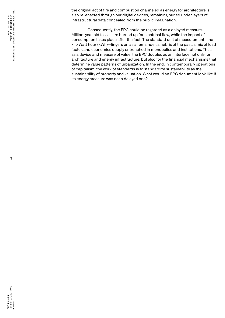the original act of fire and combustion channeled as energy for architecture is also re-enacted through our digital devices, remaining buried under layers of infrastructural data concealed from the public imagination.

Consequently, the EPC could be regarded as a delayed measure. Million-year old fossils are burned up for electrical flow, while the impact of consumption takes place after the fact. The standard unit of measurement—the kilo Watt hour (kWh)—lingers on as a remainder, a hubris of the past, a mix of load factor, and economics deeply entrenched in monopolies and institutions. Thus, as a device and measure of value, the EPC doubles as an interface not only for architecture and energy infrastructure, but also for the financial mechanisms that determine value patterns of urbanization. In the end, in contemporary operations of capitalism, the work of standards is to standardize sustainability as the sustainability of property and valuation. What would an EPC document look like if its energy measure was not a delayed one?